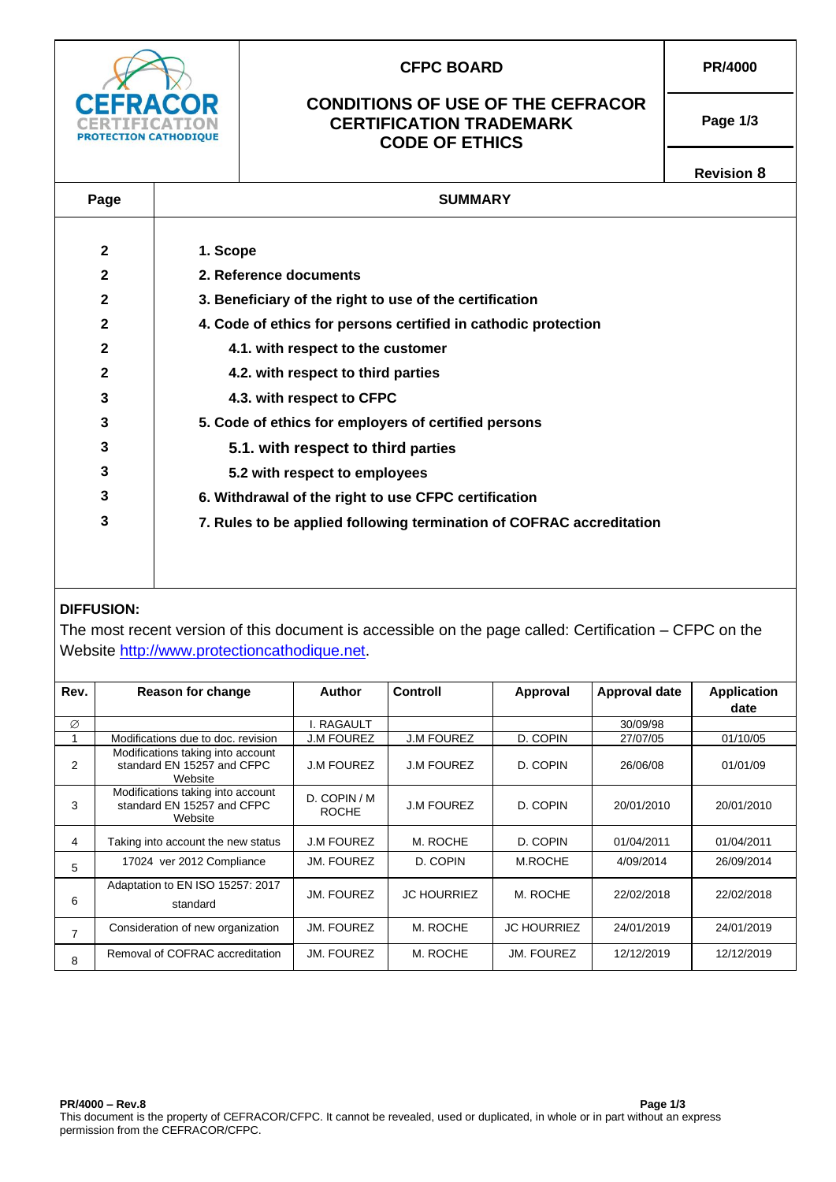

# **DIFFUSION:**

The most recent version of this document is accessible on the page called: Certification – CFPC on the Website [http://www.protectioncathodique.net.](http://www.protectioncathodique.net/)

| Rev. | Reason for change                                                          | Author                       | <b>Controll</b>    | Approval           | <b>Approval date</b> | <b>Application</b><br>date |
|------|----------------------------------------------------------------------------|------------------------------|--------------------|--------------------|----------------------|----------------------------|
| Ø    |                                                                            | I. RAGAULT                   |                    |                    | 30/09/98             |                            |
|      | Modifications due to doc. revision                                         | <b>J.M FOUREZ</b>            | <b>J.M FOUREZ</b>  | D. COPIN           | 27/07/05             | 01/10/05                   |
| 2    | Modifications taking into account<br>standard EN 15257 and CFPC<br>Website | <b>J.M FOUREZ</b>            | <b>J.M FOUREZ</b>  | D. COPIN           | 26/06/08             | 01/01/09                   |
| 3    | Modifications taking into account<br>standard EN 15257 and CFPC<br>Website | D. COPIN / M<br><b>ROCHE</b> | <b>J.M FOUREZ</b>  | D. COPIN           | 20/01/2010           | 20/01/2010                 |
| 4    | Taking into account the new status                                         | <b>J.M FOUREZ</b>            | M. ROCHE           | D. COPIN           | 01/04/2011           | 01/04/2011                 |
| 5    | 17024 ver 2012 Compliance                                                  | JM. FOUREZ                   | D. COPIN           | M.ROCHE            | 4/09/2014            | 26/09/2014                 |
| 6    | Adaptation to EN ISO 15257: 2017<br>standard                               | JM. FOUREZ                   | <b>JC HOURRIEZ</b> | M. ROCHE           | 22/02/2018           | 22/02/2018                 |
| 7    | Consideration of new organization                                          | JM. FOUREZ                   | M. ROCHE           | <b>JC HOURRIEZ</b> | 24/01/2019           | 24/01/2019                 |
| 8    | Removal of COFRAC accreditation                                            | JM. FOUREZ                   | M. ROCHE           | JM. FOUREZ         | 12/12/2019           | 12/12/2019                 |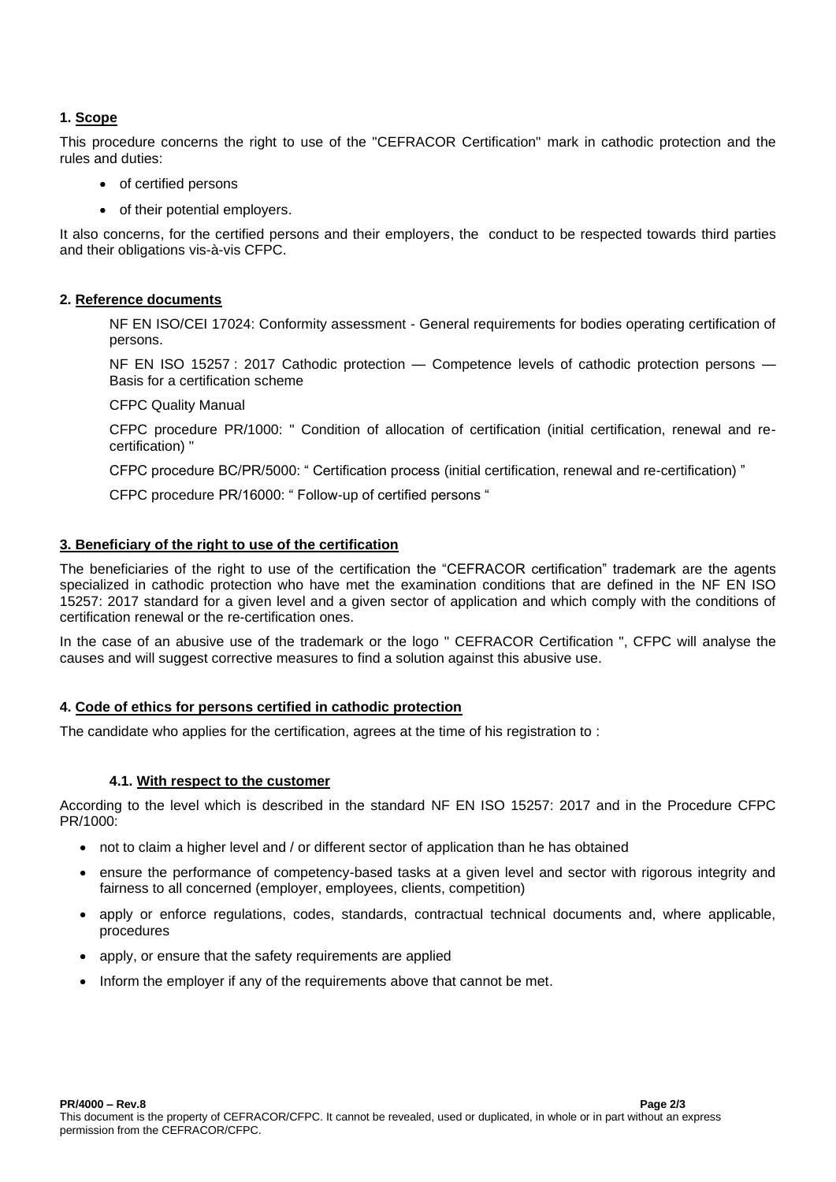### **1. Scope**

This procedure concerns the right to use of the "CEFRACOR Certification" mark in cathodic protection and the rules and duties:

- of certified persons
- of their potential employers.

It also concerns, for the certified persons and their employers, the conduct to be respected towards third parties and their obligations vis-à-vis CFPC.

### **2. Reference documents**

NF EN ISO/CEI 17024: Conformity assessment - General requirements for bodies operating certification of persons.

NF EN ISO 15257 : 2017 Cathodic protection — Competence levels of cathodic protection persons — Basis for a certification scheme

CFPC Quality Manual

CFPC procedure PR/1000: " Condition of allocation of certification (initial certification, renewal and recertification) "

CFPC procedure BC/PR/5000: " Certification process (initial certification, renewal and re-certification) "

CFPC procedure PR/16000: " Follow-up of certified persons "

### **3. Beneficiary of the right to use of the certification**

The beneficiaries of the right to use of the certification the "CEFRACOR certification" trademark are the agents specialized in cathodic protection who have met the examination conditions that are defined in the NF EN ISO 15257: 2017 standard for a given level and a given sector of application and which comply with the conditions of certification renewal or the re-certification ones.

In the case of an abusive use of the trademark or the logo " CEFRACOR Certification ", CFPC will analyse the causes and will suggest corrective measures to find a solution against this abusive use.

### **4. Code of ethics for persons certified in cathodic protection**

The candidate who applies for the certification, agrees at the time of his registration to :

#### **4.1. With respect to the customer**

According to the level which is described in the standard NF EN ISO 15257: 2017 and in the Procedure CFPC PR/1000:

- not to claim a higher level and / or different sector of application than he has obtained
- ensure the performance of competency-based tasks at a given level and sector with rigorous integrity and fairness to all concerned (employer, employees, clients, competition)
- apply or enforce regulations, codes, standards, contractual technical documents and, where applicable, procedures
- apply, or ensure that the safety requirements are applied
- Inform the employer if any of the requirements above that cannot be met.